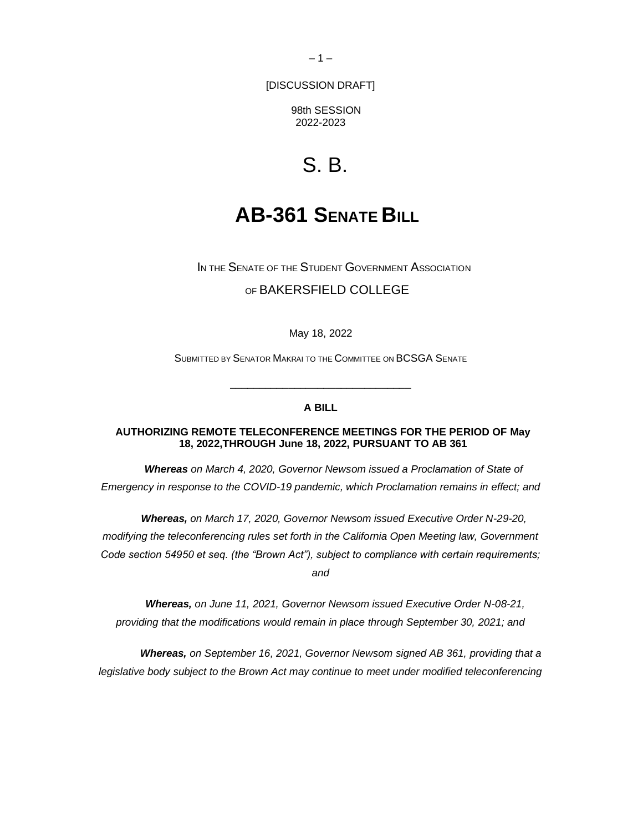$-1-$ 

[DISCUSSION DRAFT]

98th SESSION 2022-2023

# S. B.

## **AB-361 SENATE BILL**

IN THE SENATE OF THE STUDENT GOVERNMENT ASSOCIATION OF BAKERSFIELD COLLEGE

May 18, 2022

SUBMITTED BY SENATOR MAKRAI TO THE COMMITTEE ON BCSGA SENATE

### **A BILL**

\_\_\_\_\_\_\_\_\_\_\_\_\_\_\_\_\_\_\_\_\_\_\_\_\_\_\_\_\_\_\_

### **AUTHORIZING REMOTE TELECONFERENCE MEETINGS FOR THE PERIOD OF May 18, 2022,THROUGH June 18, 2022, PURSUANT TO AB 361**

*Whereas on March 4, 2020, Governor Newsom issued a Proclamation of State of Emergency in response to the COVID-19 pandemic, which Proclamation remains in effect; and* 

*Whereas, on March 17, 2020, Governor Newsom issued Executive Order N-29-20,* 

*modifying the teleconferencing rules set forth in the California Open Meeting law, Government* 

*Code section 54950 et seq. (the "Brown Act"), subject to compliance with certain requirements;* 

*and* 

*Whereas, on June 11, 2021, Governor Newsom issued Executive Order N-08-21, providing that the modifications would remain in place through September 30, 2021; and* 

 *Whereas, on September 16, 2021, Governor Newsom signed AB 361, providing that a legislative body subject to the Brown Act may continue to meet under modified teleconferencing*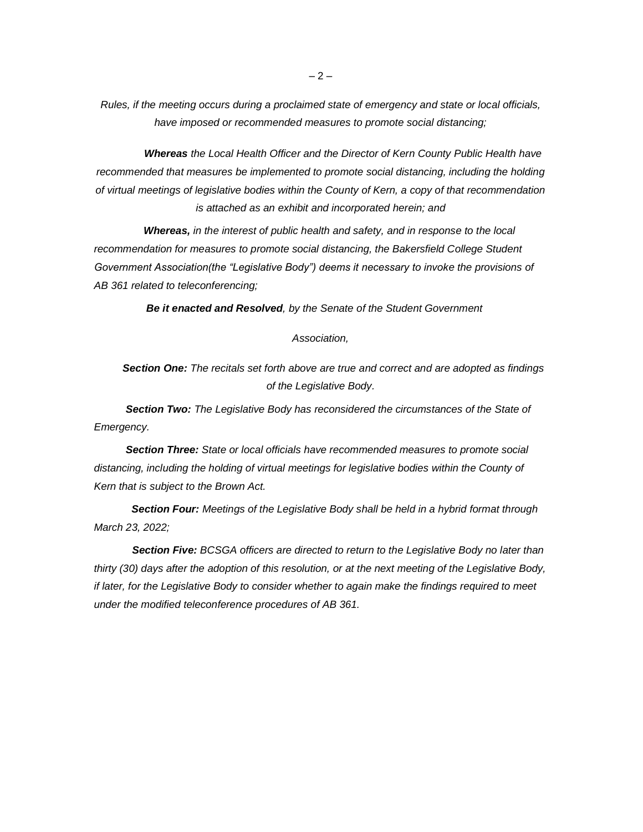*Rules, if the meeting occurs during a proclaimed state of emergency and state or local officials, have imposed or recommended measures to promote social distancing;* 

 *Whereas the Local Health Officer and the Director of Kern County Public Health have recommended that measures be implemented to promote social distancing, including the holding of virtual meetings of legislative bodies within the County of Kern, a copy of that recommendation is attached as an exhibit and incorporated herein; and* 

 *Whereas, in the interest of public health and safety, and in response to the local*  recommendation for measures to promote social distancing, the Bakersfield College Student *Government Association(the "Legislative Body") deems it necessary to invoke the provisions of AB 361 related to teleconferencing;* 

 *Be it enacted and Resolved, by the Senate of the Student Government* 

#### *Association,*

 *Section One: The recitals set forth above are true and correct and are adopted as findings of the Legislative Body.* 

 *Section Two: The Legislative Body has reconsidered the circumstances of the State of Emergency.* 

 *Section Three: State or local officials have recommended measures to promote social distancing, including the holding of virtual meetings for legislative bodies within the County of Kern that is subject to the Brown Act.* 

 *Section Four: Meetings of the Legislative Body shall be held in a hybrid format through March 23, 2022;* 

*Section Five: BCSGA officers are directed to return to the Legislative Body no later than thirty (30) days after the adoption of this resolution, or at the next meeting of the Legislative Body, if later, for the Legislative Body to consider whether to again make the findings required to meet under the modified teleconference procedures of AB 361.*